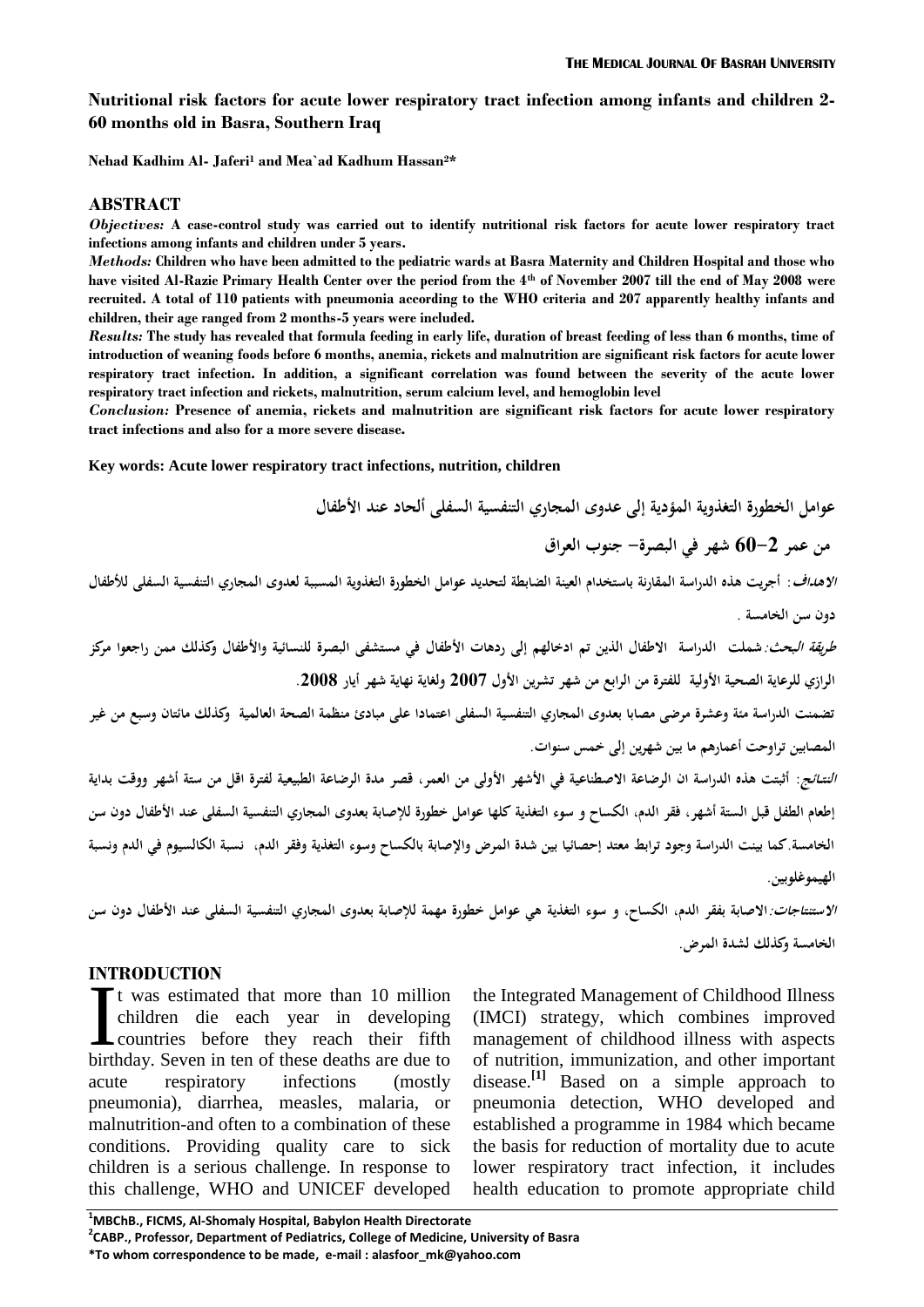## **Nutritional risk factors for acute lower respiratory tract infection among infants and children 2- 60 months old in Basra, Southern Iraq**

**Nehad Kadhim Al- Jaferi<sup>1</sup> and Mea`ad Kadhum Hassan2\***

### **ABSTRACT**

*Objectives:* **A case-control study was carried out to identify nutritional risk factors for acute lower respiratory tract infections among infants and children under 5 years.**

*Methods:* **Children who have been admitted to the pediatric wards at Basra Maternity and Children Hospital and those who have visited Al-Razie Primary Health Center over the period from the 4th of November 2007 till the end of May 2008 were recruited. A total of 110 patients with pneumonia according to the WHO criteria and 207 apparently healthy infants and children, their age ranged from 2 months-5 years were included.** 

*Results:* **The study has revealed that formula feeding in early life, duration of breast feeding of less than 6 months, time of introduction of weaning foods before 6 months, anemia, rickets and malnutrition are significant risk factors for acute lower respiratory tract infection. In addition, a significant correlation was found between the severity of the acute lower respiratory tract infection and rickets, malnutrition, serum calcium level, and hemoglobin level**

*Conclusion:* **Presence of anemia, rickets and malnutrition are significant risk factors for acute lower respiratory tract infections and also for a more severe disease.**

**Key words: Acute lower respiratory tract infections, nutrition, children**

**عوامل الخطورة التغذوية المؤدية إلى عدوى المجاري التنفسية السفلى ألحاد عند األطفال**

**من عمر 06-2 شهر في البصرة- جنوب العراق**

**االهداف: أجريت هذه الدراسة المقارنة باستخدام العينة الضابطة لتحديد عوامل الخطورة التغذوية المسببة لعدوى المجاري التنفسية السفلى لألطفال دون سن الخامسة .** 

**طريقة البحث:شملت الدراسة االطفال الذين تم ادخالهم إلى ردهات األطفال في مستشفى البصرة للنسائية واألطفال وكذلك ممن راجعوا مركز الرازي للرعاية الصحية األولية للفترة من الرابع من شهر تشرين األول 2662 ولغاية نهاية شهر أيار .2662**

**تضمنت الدراسة مئة وعشرة مرضى مصابا بعدوى المجاري التنفسية السفلى اعتمادا على مبادئ منظمة الصحة العالمية وكذلك مائتان وسبع من غير المصابين تراوحت أعمارهم ما بين شهرين إلى خمس سنوات.**

**النتــائج: أثبتت هذه الدراسة ان الرضاعة االصطناعية في األشهر األولى من العمر, قصر مدة الرضاعة الطبيعية لفترة اقل من ستة أشهر ووقت بداية إطعام الطفل قبل الستة أشهر, فقر الدم, الكساح و سوء التغذية كلها عوامل خطورة لإلصابة بعدوى المجاري التنفسية السفلى عند األطفال دون سن الخامسة.كما بينت الدراسة وجود ترابط معتد إحصائيا بين شدة المرض واإلصابة بالكساح وسوء التغذية وفقر الدم, نسبة الكالسيوم في الدم ونسبة الهيموغلوبين.** 

**االستنتاجات:االصابة بفقر الدم, الكساح, و سوء التغذية هي عوامل خطورة مهمة لإلصابة بعدوى المجاري التنفسية السفلى عند األطفال دون سن الخامسة وكذلك لشدة المرض.**

## **INTRODUCTION**

t was estimated that more than 10 million children die each year in developing countries before they reach their fifth It was estimated that more than 10 million<br>children die each year in developing<br>countries before they reach their fifth<br>birthday. Seven in ten of these deaths are due to acute respiratory infections (mostly pneumonia), diarrhea, measles, malaria, or malnutrition-and often to a combination of these conditions. Providing quality care to sick children is a serious challenge. In response to this challenge, WHO and UNICEF developed

the Integrated Management of Childhood Illness (IMCI) strategy, which combines improved management of childhood illness with aspects of nutrition, immunization, and other important disease.<sup>[1]</sup> Based on a simple approach to pneumonia detection, WHO developed and established a programme in 1984 which became the basis for reduction of mortality due to acute lower respiratory tract infection, it includes health education to promote appropriate child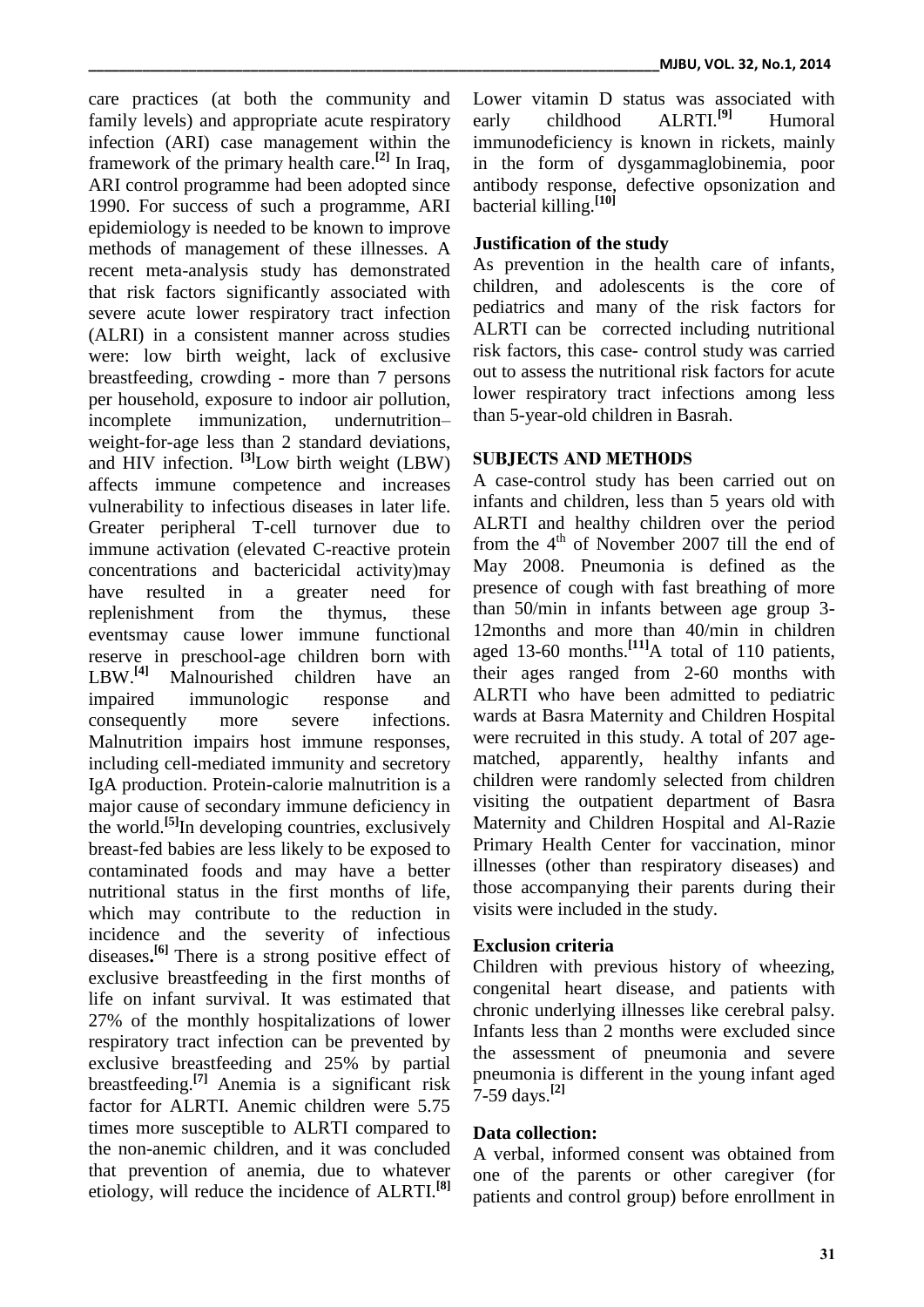care practices (at both the community and family levels) and appropriate acute respiratory infection (ARI) case management within the framework of the primary health care. **[2]** In Iraq, ARI control programme had been adopted since 1990. For success of such a programme, ARI epidemiology is needed to be known to improve methods of management of these illnesses. A recent meta-analysis study has demonstrated that risk factors significantly associated with severe acute lower respiratory tract infection (ALRI) in a consistent manner across studies were: low birth weight, lack of exclusive breastfeeding, crowding - more than 7 persons per household, exposure to indoor air pollution, incomplete immunization, undernutrition– weight-for-age less than 2 standard deviations, and HIV infection. **[3]** Low birth weight (LBW) affects immune competence and increases vulnerability to infectious diseases in later life. Greater peripheral T-cell turnover due to immune activation (elevated C-reactive protein concentrations and bactericidal activity)may have resulted in a greater need for replenishment from the thymus, these eventsmay cause lower immune functional reserve in preschool-age children born with LBW.<sup>[4]</sup> Malnourished children have an impaired immunologic response and consequently more severe infections. Malnutrition impairs host immune responses, including cell-mediated immunity and secretory IgA production. Protein-calorie malnutrition is a major cause of secondary immune deficiency in the world.**[5]** In developing countries, exclusively breast-fed babies are less likely to be exposed to contaminated foods and may have a better nutritional status in the first months of life, which may contribute to the reduction in incidence and the severity of infectious diseases**. [6]** There is a strong positive effect of exclusive breastfeeding in the first months of life on infant survival. It was estimated that 27% of the monthly hospitalizations of lower respiratory tract infection can be prevented by exclusive breastfeeding and 25% by partial breastfeeding.**[7]** Anemia is a significant risk factor for ALRTI. Anemic children were 5.75 times more susceptible to ALRTI compared to the non-anemic children, and it was concluded that prevention of anemia, due to whatever etiology, will reduce the incidence of ALRTI. **[8]**

Lower vitamin D status was associated with early childhood ALRTI.**[9]** Humoral immunodeficiency is known in rickets, mainly in the form of dysgammaglobinemia, poor antibody response, defective opsonization and bacterial killing. **[10]**

# **Justification of the study**

As prevention in the health care of infants, children, and adolescents is the core of pediatrics and many of the risk factors for ALRTI can be corrected including nutritional risk factors, this case- control study was carried out to assess the nutritional risk factors for acute lower respiratory tract infections among less than 5-year-old children in Basrah.

# **SUBJECTS AND METHODS**

A case-control study has been carried out on infants and children, less than 5 years old with ALRTI and healthy children over the period from the  $4<sup>th</sup>$  of November 2007 till the end of May 2008. Pneumonia is defined as the presence of cough with fast breathing of more than 50/min in infants between age group 3- 12months and more than 40/min in children aged 13-60 months. **[11]**A total of 110 patients, their ages ranged from 2-60 months with ALRTI who have been admitted to pediatric wards at Basra Maternity and Children Hospital were recruited in this study. A total of 207 agematched, apparently, healthy infants and children were randomly selected from children visiting the outpatient department of Basra Maternity and Children Hospital and Al-Razie Primary Health Center for vaccination, minor illnesses (other than respiratory diseases) and those accompanying their parents during their visits were included in the study.

## **Exclusion criteria**

Children with previous history of wheezing, congenital heart disease, and patients with chronic underlying illnesses like cerebral palsy. Infants less than 2 months were excluded since the assessment of pneumonia and severe pneumonia is different in the young infant aged 7-59 days.**[2]**

## **Data collection:**

A verbal, informed consent was obtained from one of the parents or other caregiver (for patients and control group) before enrollment in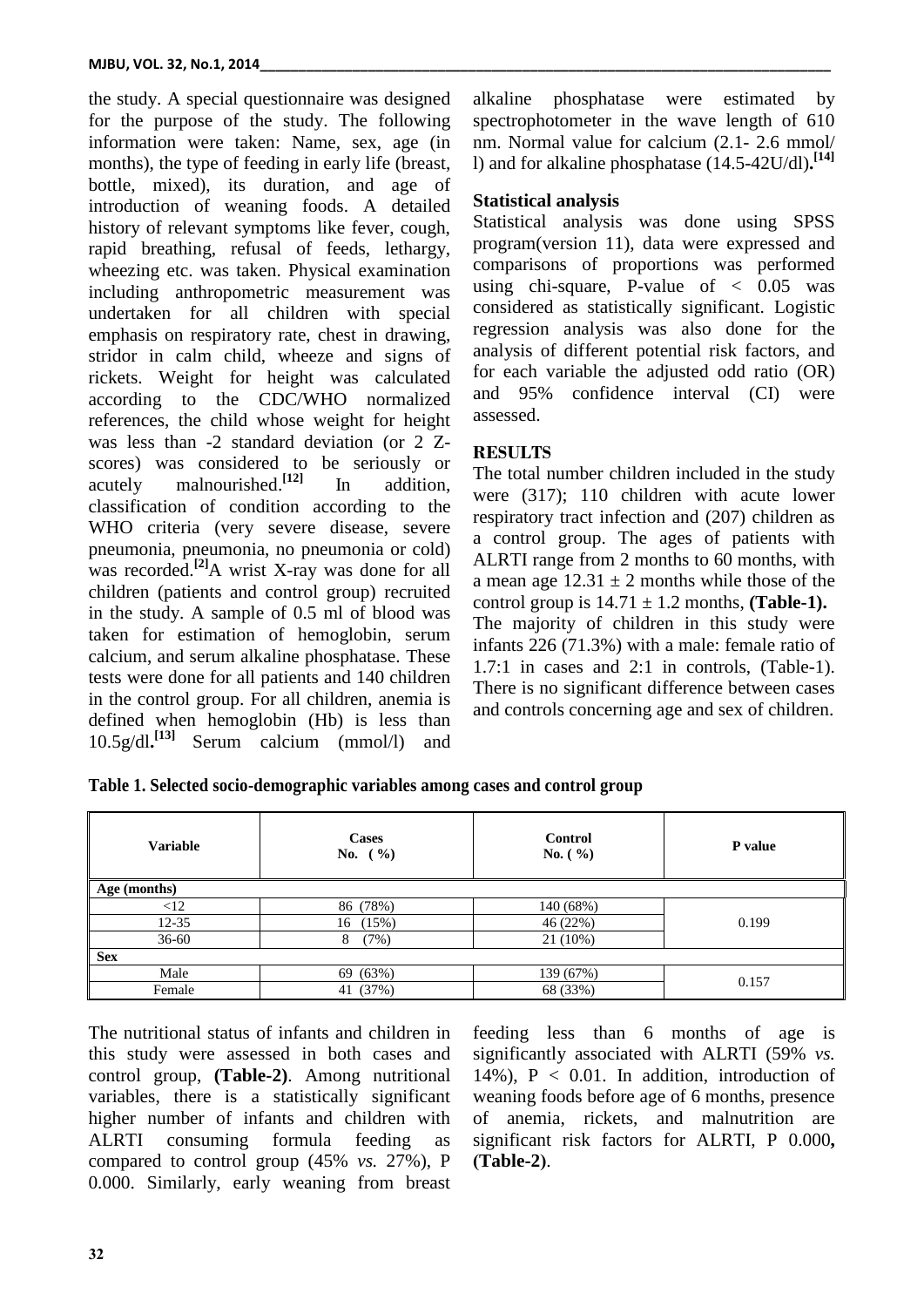the study. A special questionnaire was designed for the purpose of the study. The following information were taken: Name, sex, age (in months), the type of feeding in early life (breast, bottle, mixed), its duration, and age of introduction of weaning foods. A detailed history of relevant symptoms like fever, cough, rapid breathing, refusal of feeds, lethargy, wheezing etc. was taken. Physical examination including anthropometric measurement was undertaken for all children with special emphasis on respiratory rate, chest in drawing, stridor in calm child, wheeze and signs of rickets. Weight for height was calculated according to the CDC/WHO normalized references, the child whose weight for height was less than -2 standard deviation (or 2 Zscores) was considered to be seriously or acutely malnourished. **[12]** In addition, classification of condition according to the WHO criteria (very severe disease, severe pneumonia, pneumonia, no pneumonia or cold) was recorded. **[2]**A wrist X-ray was done for all children (patients and control group) recruited in the study. A sample of 0.5 ml of blood was taken for estimation of hemoglobin, serum calcium, and serum alkaline phosphatase. These tests were done for all patients and 140 children in the control group. For all children, anemia is defined when hemoglobin (Hb) is less than 10.5g/dl**. [13]** Serum calcium (mmol/l) and alkaline phosphatase were estimated by spectrophotometer in the wave length of 610 nm. Normal value for calcium (2.1- 2.6 mmol/ l) and for alkaline phosphatase (14.5-42U/dl)**. [14]**

# **Statistical analysis**

Statistical analysis was done using SPSS program(version 11), data were expressed and comparisons of proportions was performed using chi-square, P-value of  $\langle 0.05 \rangle$  was considered as statistically significant. Logistic regression analysis was also done for the analysis of different potential risk factors, and for each variable the adjusted odd ratio (OR) and 95% confidence interval (CI) were assessed.

# **RESULTS**

The total number children included in the study were (317); 110 children with acute lower respiratory tract infection and (207) children as a control group. The ages of patients with ALRTI range from 2 months to 60 months, with a mean age  $12.31 \pm 2$  months while those of the control group is  $14.71 \pm 1.2$  months, (Table-1). The majority of children in this study were infants 226 (71.3%) with a male: female ratio of 1.7:1 in cases and 2:1 in controls, (Table-1). There is no significant difference between cases and controls concerning age and sex of children.

| <b>Variable</b> | Cases<br>No. $( %)$ | <b>Control</b><br>No. $(\% )$ | P value |  |
|-----------------|---------------------|-------------------------------|---------|--|
| Age (months)    |                     |                               |         |  |
| <12             | 86 (78%)            | 140 (68%)                     |         |  |
| $12 - 35$       | 16 (15%)            | 46 (22%)                      | 0.199   |  |
| 36-60           | (7%)<br>8           | 21 (10%)                      |         |  |
| <b>Sex</b>      |                     |                               |         |  |
| Male            | 69 (63%)            | 139 (67%)                     | 0.157   |  |
| Female          | 41 (37%)            | 68 (33%)                      |         |  |

The nutritional status of infants and children in this study were assessed in both cases and control group, **(Table-2)**. Among nutritional variables, there is a statistically significant higher number of infants and children with ALRTI consuming formula feeding as compared to control group (45% *vs.* 27%), P 0.000. Similarly, early weaning from breast

feeding less than 6 months of age is significantly associated with ALRTI (59% *vs.* 14%),  $P < 0.01$ . In addition, introduction of weaning foods before age of 6 months, presence of anemia, rickets, and malnutrition are significant risk factors for ALRTI, P 0.000**, )Table-2(**.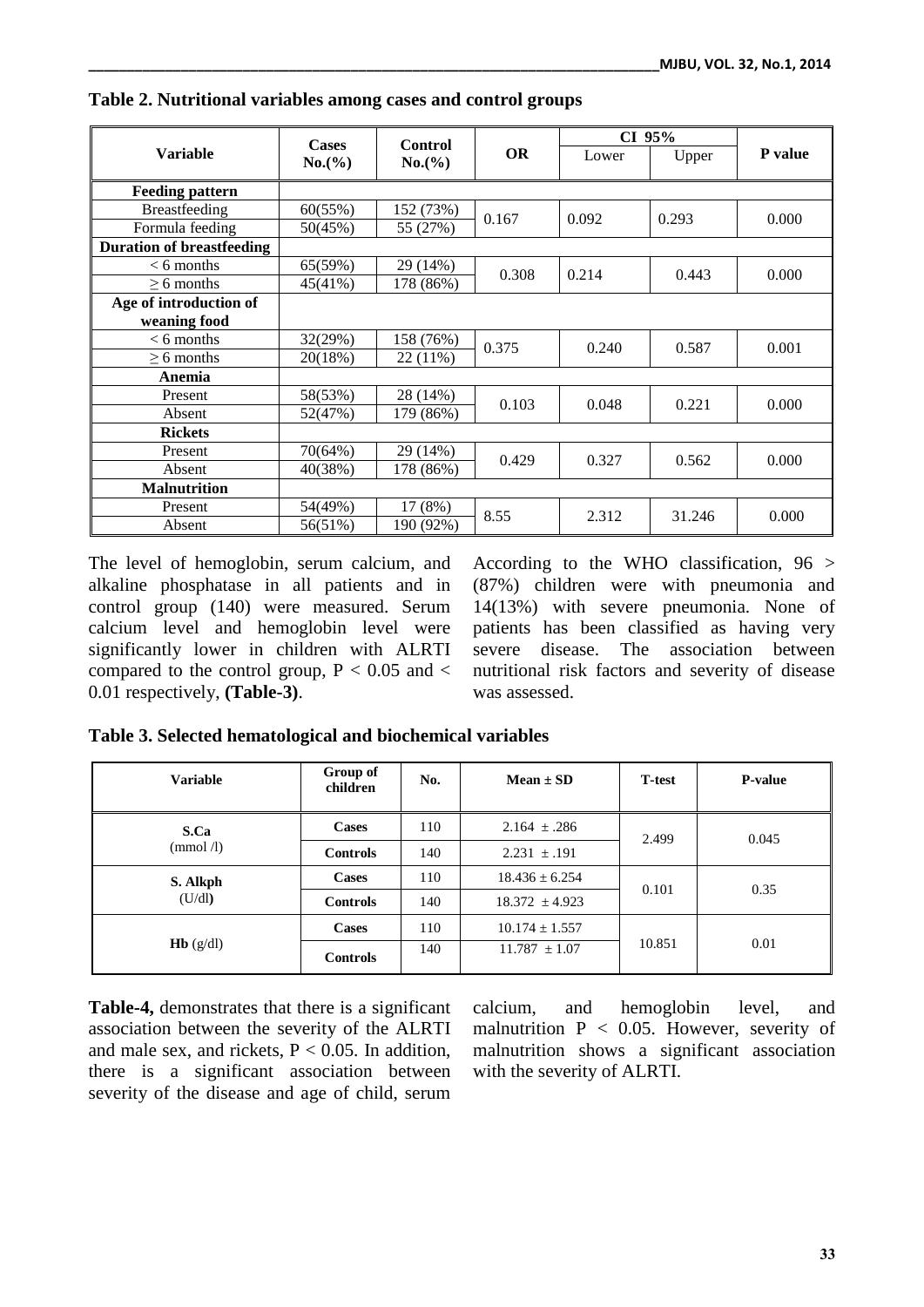| <b>Variable</b>                        | <b>Cases</b><br>Control<br>No. (%)<br>No.(%) | <b>OR</b> | CI 95% |       |         |       |
|----------------------------------------|----------------------------------------------|-----------|--------|-------|---------|-------|
|                                        |                                              |           | Lower  | Upper | P value |       |
| <b>Feeding pattern</b>                 |                                              |           |        |       |         |       |
| <b>Breastfeeding</b>                   | 60(55%)                                      | 152 (73%) | 0.167  | 0.092 | 0.293   | 0.000 |
| Formula feeding                        | 50(45%)                                      | 55 (27%)  |        |       |         |       |
| <b>Duration of breastfeeding</b>       |                                              |           |        |       |         |       |
| $< 6$ months                           | 65(59%)                                      | 29 (14%)  | 0.308  | 0.214 | 0.443   | 0.000 |
| $> 6$ months                           | 45(41%)                                      | 178 (86%) |        |       |         |       |
| Age of introduction of<br>weaning food |                                              |           |        |       |         |       |
| $< 6$ months                           | 32(29%)                                      | 158 (76%) | 0.375  | 0.240 | 0.587   | 0.001 |
| $> 6$ months                           | 20(18%)                                      | 22 (11%)  |        |       |         |       |
| Anemia                                 |                                              |           |        |       |         |       |
| Present                                | 58(53%)                                      | 28 (14%)  | 0.103  | 0.048 | 0.221   | 0.000 |
| Absent                                 | 52(47%)                                      | 179 (86%) |        |       |         |       |
| <b>Rickets</b>                         |                                              |           |        |       |         |       |
| Present                                | 70(64%)                                      | 29 (14%)  | 0.429  | 0.327 | 0.562   | 0.000 |
| Absent                                 | 40(38%)                                      | 178 (86%) |        |       |         |       |
| <b>Malnutrition</b>                    |                                              |           |        |       |         |       |
| Present                                | 54(49%)                                      | 17 (8%)   | 8.55   | 2.312 | 31.246  | 0.000 |
| Absent                                 | 56(51%)                                      | 190 (92%) |        |       |         |       |

**Table 2. Nutritional variables among cases and control groups**

The level of hemoglobin, serum calcium, and alkaline phosphatase in all patients and in control group (140) were measured. Serum calcium level and hemoglobin level were significantly lower in children with ALRTI compared to the control group,  $P < 0.05$  and  $<$ 0.01 respectively, **(Table-3)**.

According to the WHO classification, 96 > (87%) children were with pneumonia and 14(13%) with severe pneumonia. None of patients has been classified as having very severe disease. The association between nutritional risk factors and severity of disease was assessed.

| able 5. Selected nematological and biochemical variables |                      |     |                    |                |                |
|----------------------------------------------------------|----------------------|-----|--------------------|----------------|----------------|
| <b>Variable</b>                                          | Group of<br>children | No. | Mean $\pm$ SD      | <b>T</b> -test | <b>P-value</b> |
| S.Ca                                                     | <b>Cases</b>         | 110 | $2.164 \pm .286$   | 2.499          | 0.045          |
| $\pmod{\Lambda}$                                         | <b>Controls</b>      | 140 | $2.231 + .191$     |                |                |
| S. Alkph                                                 | <b>Cases</b>         | 110 | $18.436 \pm 6.254$ |                |                |
| (U/dl)                                                   | <b>Controls</b>      | 140 | $18.372 \pm 4.923$ | 0.101          | 0.35           |
| <b>Hb</b> $(g/dl)$                                       | <b>Cases</b>         | 110 | $10.174 \pm 1.557$ |                |                |
|                                                          | <b>Controls</b>      | 140 | $11.787 \pm 1.07$  | 10.851         | 0.01           |

**Table 3. Selected hematological and biochemical variables**

**Table-4,** demonstrates that there is a significant association between the severity of the ALRTI and male sex, and rickets,  $P < 0.05$ . In addition, there is a significant association between severity of the disease and age of child, serum

calcium, and hemoglobin level, and malnutrition  $P < 0.05$ . However, severity of malnutrition shows a significant association with the severity of ALRTI.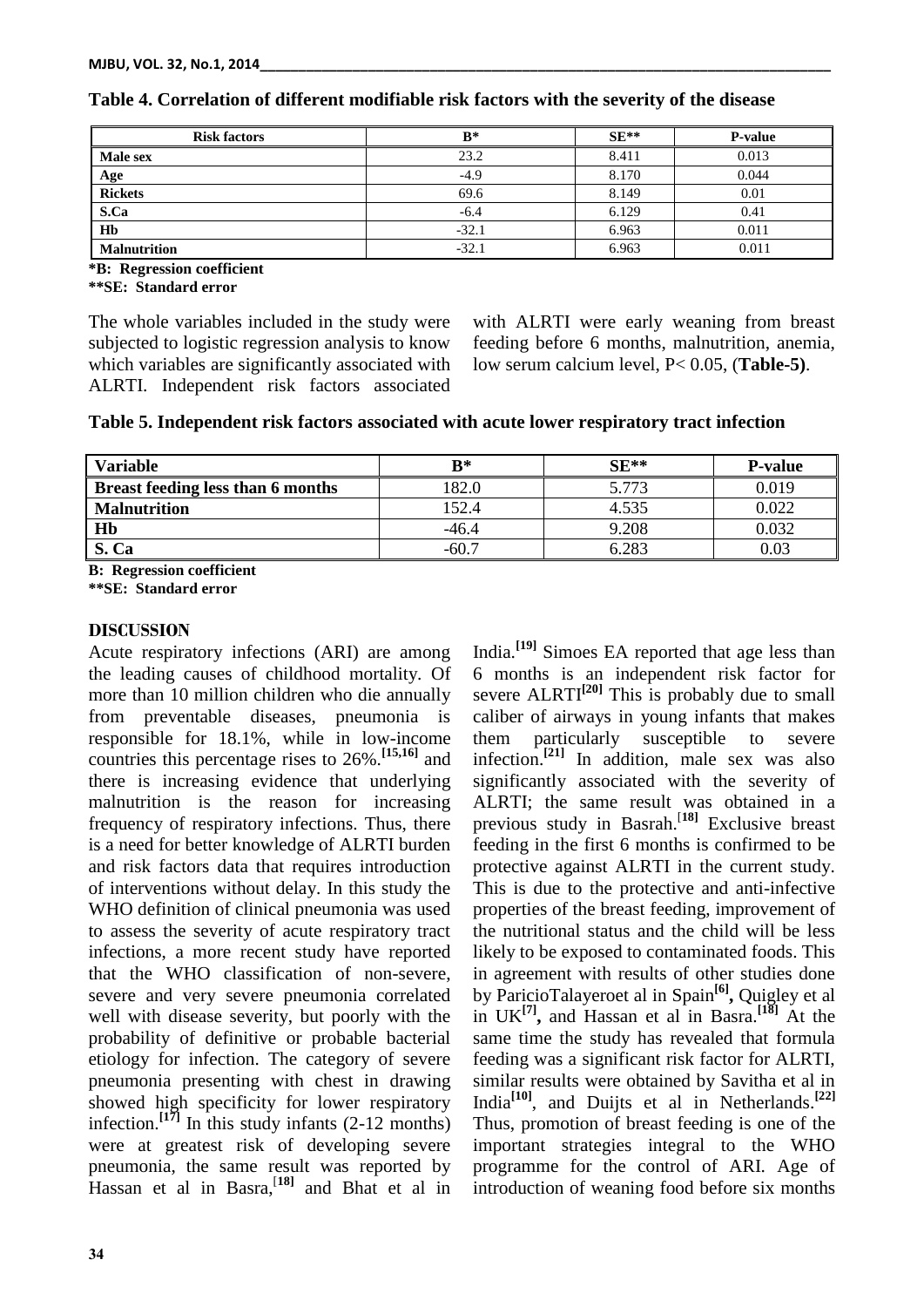| <b>Risk factors</b> | $B^*$   | $SE**$ | <b>P-value</b> |
|---------------------|---------|--------|----------------|
| Male sex            | 23.2    | 8.411  | 0.013          |
| Age                 | $-4.9$  | 8.170  | 0.044          |
| <b>Rickets</b>      | 69.6    | 8.149  | 0.01           |
| S.Ca                | $-6.4$  | 6.129  | 0.41           |
| H <sub>b</sub>      | $-32.1$ | 6.963  | 0.011          |
| <b>Malnutrition</b> | $-32.1$ | 6.963  | 0.011          |

#### **Table 4. Correlation of different modifiable risk factors with the severity of the disease**

**\*B: Regression coefficient**

**\*\*SE: Standard error**

The whole variables included in the study were subjected to logistic regression analysis to know which variables are significantly associated with ALRTI. Independent risk factors associated

with ALRTI were early weaning from breast feeding before 6 months, malnutrition, anemia, low serum calcium level, P< 0.05, (**Table-5)**.

| <b>Variable</b>                          | $R^*$  | $SE**$ | <b>P-value</b> |
|------------------------------------------|--------|--------|----------------|
| <b>Breast feeding less than 6 months</b> | 82.0   | 5.773  | 0.019          |
| <b>Malnutrition</b>                      | 152.4  | 4.535  | 0.022          |
| <b>Hb</b>                                | -46.4  | 9.208  | 0.032          |
| S. Ca                                    | $-60.$ | 6.283  | 0.03           |

**B: Regression coefficient**

**\*\*SE: Standard error**

#### **DISCUSSION**

Acute respiratory infections (ARI) are among the leading causes of childhood mortality. Of more than 10 million children who die annually from preventable diseases, pneumonia is responsible for 18.1%, while in low-income countries this percentage rises to 26%.**[15,16]** and there is increasing evidence that underlying malnutrition is the reason for increasing frequency of respiratory infections. Thus, there is a need for better knowledge of ALRTI burden and risk factors data that requires introduction of interventions without delay. In this study the WHO definition of clinical pneumonia was used to assess the severity of acute respiratory tract infections, a more recent study have reported that the WHO classification of non-severe, severe and very severe pneumonia correlated well with disease severity, but poorly with the probability of definitive or probable bacterial etiology for infection. The category of severe pneumonia presenting with chest in drawing showed high specificity for lower respiratory infection.<sup>[17]</sup> In this study infants  $(2-12 \text{ months})$ were at greatest risk of developing severe pneumonia, the same result was reported by Hassan et al in Basra, [**18]** and Bhat et al in

India. **[19]** Simoes EA reported that age less than 6 months is an independent risk factor for severe ALRTI<sup>[20]</sup> This is probably due to small caliber of airways in young infants that makes them particularly susceptible to severe infection. **[21]** In addition, male sex was also significantly associated with the severity of ALRTI; the same result was obtained in a previous study in Basrah. [**18]** Exclusive breast feeding in the first 6 months is confirmed to be protective against ALRTI in the current study. This is due to the protective and anti-infective properties of the breast feeding, improvement of the nutritional status and the child will be less likely to be exposed to contaminated foods. This in agreement with results of other studies done by ParicioTalayeroet al in Spain**[6] ,** Quigley et al in UK**[7] ,** and Hassan et al in Basra. **[18]** At the same time the study has revealed that formula feeding was a significant risk factor for ALRTI, similar results were obtained by Savitha et al in India**[10]** , and Duijts et al in Netherlands. **[22]** Thus, promotion of breast feeding is one of the important strategies integral to the WHO programme for the control of ARI. Age of introduction of weaning food before six months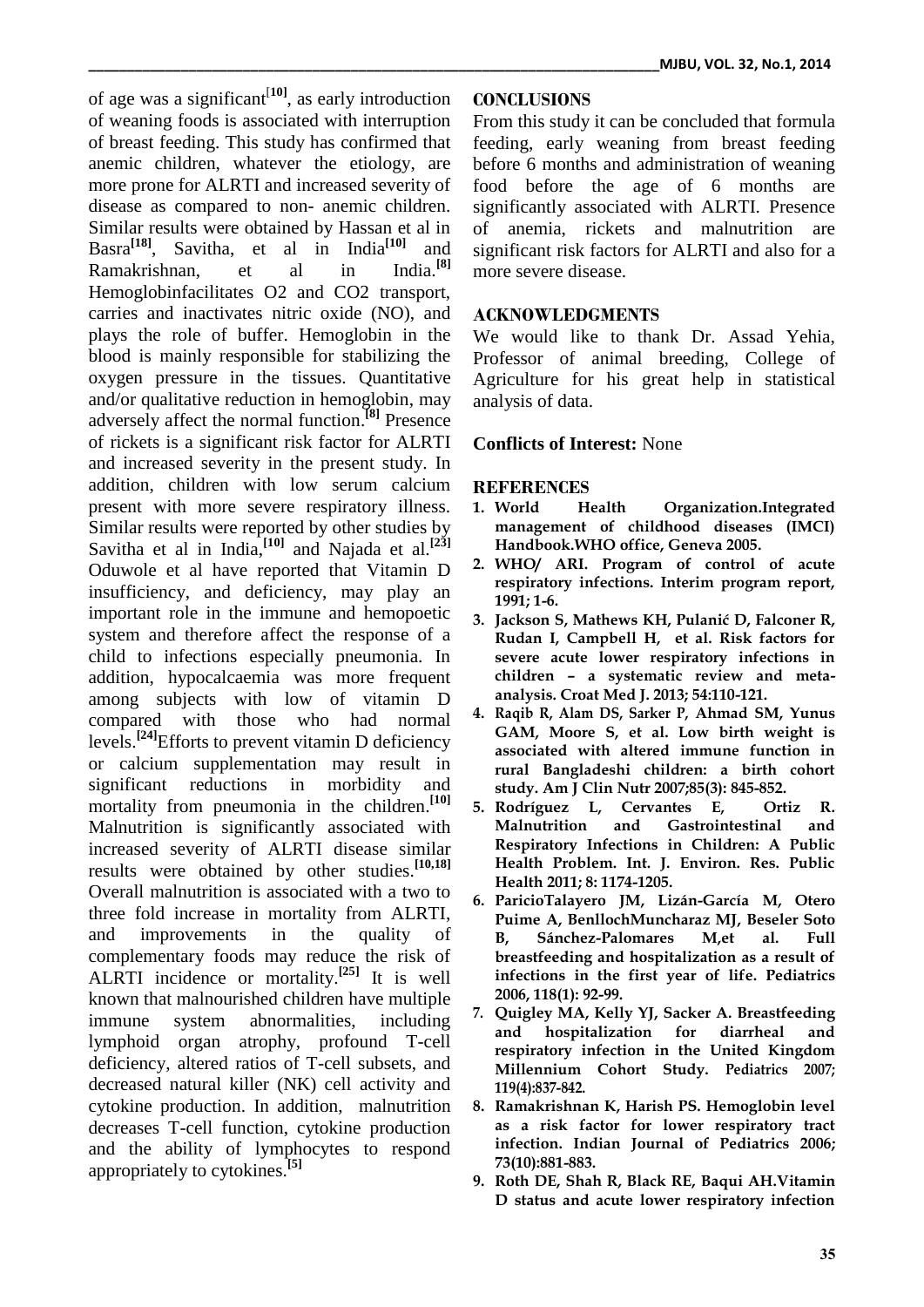of age was a significant<sup>[10]</sup>, as early introduction of weaning foods is associated with interruption of breast feeding. This study has confirmed that anemic children, whatever the etiology, are more prone for ALRTI and increased severity of disease as compared to non- anemic children. Similar results were obtained by Hassan et al in Basra**[18]** , Savitha, et al in India**[10]** and Ramakrishnan, et al in **[8]** Hemoglobinfacilitates O2 and CO2 transport, carries and inactivates nitric oxide (NO), and plays the role of buffer. Hemoglobin in the blood is mainly responsible for stabilizing the oxygen pressure in the tissues. Quantitative and/or qualitative reduction in hemoglobin, may adversely affect the normal function. **[8]** Presence of rickets is a significant risk factor for ALRTI and increased severity in the present study. In addition, children with low serum calcium present with more severe respiratory illness. Similar results were reported by other studies by Savitha et al in India,<sup>[10]</sup> and Najada et al.<sup>[23]</sup> Oduwole et al have reported that Vitamin D insufficiency, and deficiency, may play an important role in the immune and hemopoetic system and therefore affect the response of a child to infections especially pneumonia. In addition, hypocalcaemia was more frequent among subjects with low of vitamin D compared with those who had normal levels.**[24]** Efforts to prevent vitamin D deficiency or calcium supplementation may result in significant reductions in morbidity and mortality from pneumonia in the children. **[10]** Malnutrition is significantly associated with increased severity of ALRTI disease similar results were obtained by other studies. **[10,18]** Overall malnutrition is associated with a two to three fold increase in mortality from ALRTI, and improvements in the quality of complementary foods may reduce the risk of ALRTI incidence or mortality. **[25]** It is well known that malnourished children have multiple immune system abnormalities, including lymphoid organ atrophy, profound T-cell deficiency, altered ratios of T-cell subsets, and decreased natural killer (NK) cell activity and cytokine production. In addition, malnutrition decreases T-cell function, cytokine production and the ability of lymphocytes to respond appropriately to cytokines.**[5]**

# **CONCLUSIONS**

From this study it can be concluded that formula feeding, early weaning from breast feeding before 6 months and administration of weaning food before the age of 6 months are significantly associated with ALRTI. Presence of anemia, rickets and malnutrition are significant risk factors for ALRTI and also for a more severe disease.

## **ACKNOWLEDGMENTS**

We would like to thank Dr. Assad Yehia, Professor of animal breeding, College of Agriculture for his great help in statistical analysis of data.

# **Conflicts of Interest:** None

## **REFERENCES**

- **1. World Health Organization.Integrated management of childhood diseases (IMCI) Handbook.WHO office, Geneva 2005.**
- **2. WHO/ ARI. Program of control of acute respiratory infections. Interim program report, 1991; 1-6.**
- **3. Jackson S, Mathews KH, Pulanić D, Falconer R, Rudan I, Campbell H, et al. Risk factors for severe acute lower respiratory infections in children – a systematic review and metaanalysis. Croat Med J. 2013; 54:110-121.**
- **4. Raqib R, Alam DS, Sarker P, Ahmad SM, Yunus GAM, Moore S, et al. Low birth weight is associated with altered immune function in rural Bangladeshi children: a birth cohort study. Am J Clin Nutr 2007;85(3): 845-852.**
- **5. Rodríguez L, Cervantes E, Ortiz R. Malnutrition and Gastrointestinal and Respiratory Infections in Children: A Public Health Problem. Int. J. Environ. Res. Public Health 2011; 8: 1174-1205.**
- **6. [ParicioTalayero JM,](http://www.ncbi.nlm.nih.gov/pubmed?term=%22Paricio%20Talayero%20JM%22%5BAuthor%5D) [Lizán-García M,](http://www.ncbi.nlm.nih.gov/pubmed?term=%22Liz%C3%A1n-Garc%C3%ADa%20M%22%5BAuthor%5D) [Otero](http://www.ncbi.nlm.nih.gov/pubmed?term=%22Otero%20Puime%20A%22%5BAuthor%5D)  [Puime A,](http://www.ncbi.nlm.nih.gov/pubmed?term=%22Otero%20Puime%20A%22%5BAuthor%5D) [BenllochMuncharaz MJ,](http://www.ncbi.nlm.nih.gov/pubmed?term=%22Benlloch%20Muncharaz%20MJ%22%5BAuthor%5D) [Beseler Soto](http://www.ncbi.nlm.nih.gov/pubmed?term=%22Beseler%20Soto%20B%22%5BAuthor%5D)  [B,](http://www.ncbi.nlm.nih.gov/pubmed?term=%22Beseler%20Soto%20B%22%5BAuthor%5D) [Sánchez-Palomares M,e](http://www.ncbi.nlm.nih.gov/pubmed?term=%22S%C3%A1nchez-Palomares%20M%22%5BAuthor%5D)t al. Full breastfeeding and hospitalization as a result of infections in the first year of life. Pediatrics 2006, 118(1): 92-99.**
- **7. [Quigley MA,](http://www.ncbi.nlm.nih.gov/pubmed?term=%22Quigley%20MA%22%5BAuthor%5D) [Kelly YJ,](http://www.ncbi.nlm.nih.gov/pubmed?term=%22Kelly%20YJ%22%5BAuthor%5D) [Sacker A.](http://www.ncbi.nlm.nih.gov/pubmed?term=%22Sacker%20A%22%5BAuthor%5D) Breastfeeding and hospitalization for diarrheal and respiratory infection in the United Kingdom Millennium Cohort Study. Pediatrics 2007; 119(4):837-842.**
- **8. Ramakrishnan K, Harish PS. Hemoglobin level as a risk factor for lower respiratory tract infection. Indian Journal of Pediatrics 2006; 73(10):881-883.**
- **9. Roth DE, Shah R, Black RE, Baqui AH.Vitamin D status and acute lower respiratory infection**